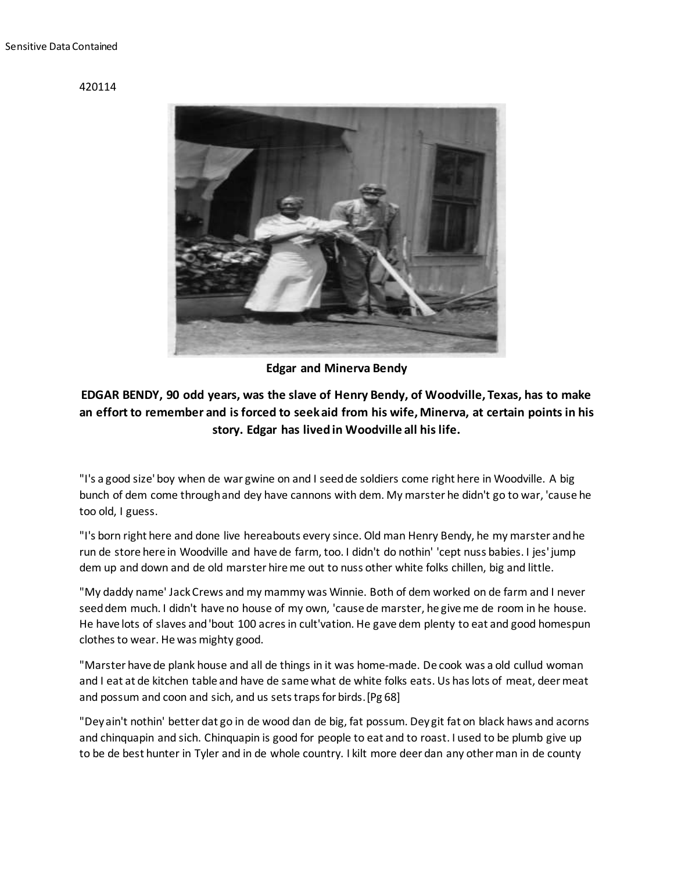## 420114



**Edgar and Minerva Bendy**

## **EDGAR BENDY, 90 odd years, was the slave of Henry Bendy, of Woodville, Texas, has to make an effort to remember and is forced to seek aid from his wife, Minerva, at certain points in his story. Edgar has lived in Woodville all his life.**

"I's a good size' boy when de war gwine on and I seed de soldiers come right here in Woodville. A big bunch of dem come through and dey have cannons with dem. My marster he didn't go to war, 'cause he too old, I guess.

"I's born right here and done live hereabouts every since. Old man Henry Bendy, he my marster and he run de store here in Woodville and have de farm, too. I didn't do nothin' 'cept nuss babies. I jes' jump dem up and down and de old marster hire me out to nuss other white folks chillen, big and little.

"My daddy name' Jack Crews and my mammy was Winnie. Both of dem worked on de farm and I never seed dem much. I didn't have no house of my own, 'cause de marster, he give me de room in he house. He have lots of slaves and 'bout 100 acres in cult'vation. He gave dem plenty to eat and good homespun clothes to wear. He was mighty good.

"Marster have de plank house and all de things in it was home-made. De cook was a old cullud woman and I eat at de kitchen table and have de same what de white folks eats. Us has lots of meat, deer meat and possum and coon and sich, and us sets traps for birds.[Pg 68]

"Dey ain't nothin' better dat go in de wood dan de big, fat possum. Dey git fat on black haws and acorns and chinquapin and sich. Chinquapin is good for people to eat and to roast. I used to be plumb give up to be de best hunter in Tyler and in de whole country. I kilt more deer dan any other man in de county